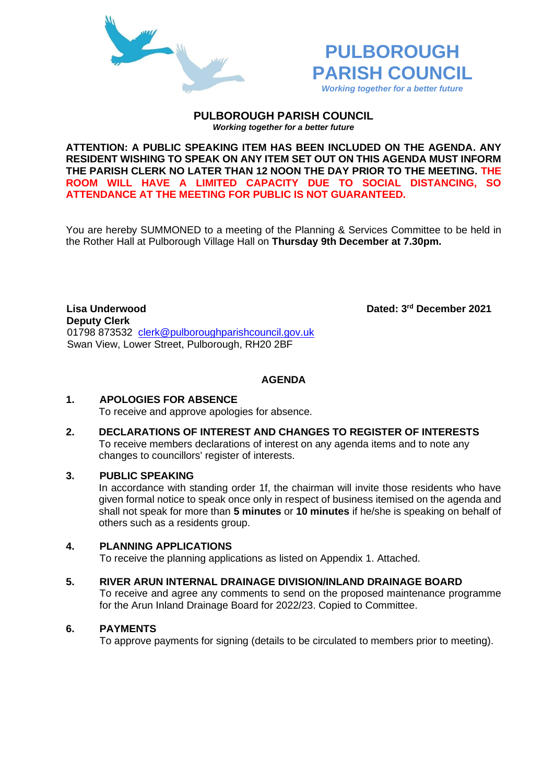



**PULBOROUGH PARISH COUNCIL** *Working together for a better future*

**ATTENTION: A PUBLIC SPEAKING ITEM HAS BEEN INCLUDED ON THE AGENDA. ANY RESIDENT WISHING TO SPEAK ON ANY ITEM SET OUT ON THIS AGENDA MUST INFORM THE PARISH CLERK NO LATER THAN 12 NOON THE DAY PRIOR TO THE MEETING. THE ROOM WILL HAVE A LIMITED CAPACITY DUE TO SOCIAL DISTANCING, SO ATTENDANCE AT THE MEETING FOR PUBLIC IS NOT GUARANTEED.**

You are hereby SUMMONED to a meeting of the Planning & Services Committee to be held in the Rother Hall at Pulborough Village Hall on **Thursday 9th December at 7.30pm.** 

**Lisa Underwood Deputy Clerk**  01798 873532 [clerk@pulboroughparishcouncil.gov.uk](mailto:clerk@pulboroughparishcouncil.gov.uk) Swan View, Lower Street, Pulborough, RH20 2BF

Dated: 3<sup>rd</sup> December 2021

**AGENDA**

# **1. APOLOGIES FOR ABSENCE**

To receive and approve apologies for absence.

**2. DECLARATIONS OF INTEREST AND CHANGES TO REGISTER OF INTERESTS** To receive members declarations of interest on any agenda items and to note any changes to councillors' register of interests.

# **3. PUBLIC SPEAKING**

In accordance with standing order 1f, the chairman will invite those residents who have given formal notice to speak once only in respect of business itemised on the agenda and shall not speak for more than **5 minutes** or **10 minutes** if he/she is speaking on behalf of others such as a residents group.

## **4. PLANNING APPLICATIONS**

To receive the planning applications as listed on Appendix 1. Attached.

### **5. RIVER ARUN INTERNAL DRAINAGE DIVISION/INLAND DRAINAGE BOARD**

To receive and agree any comments to send on the proposed maintenance programme for the Arun Inland Drainage Board for 2022/23. Copied to Committee.

# **6. PAYMENTS**

To approve payments for signing (details to be circulated to members prior to meeting).